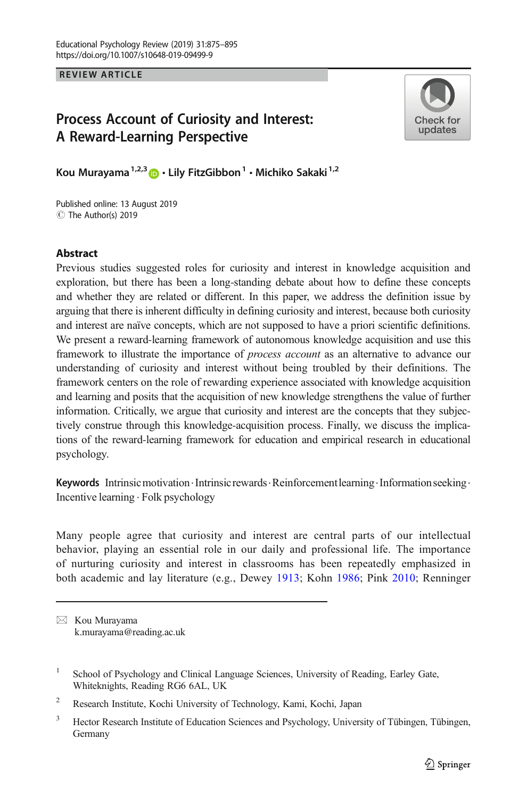REVIEW ARTICLE

# Process Account of Curiosity and Interest: A Reward-Learning Perspective



Kou Murayama<sup>1,2,3</sup>  $\bullet$  · Lily FitzGibbon<sup>1</sup> · Michiko Sakaki<sup>1,2</sup>

Published online: 13 August 2019 C The Author(s) 2019

# **Abstract**

Previous studies suggested roles for curiosity and interest in knowledge acquisition and exploration, but there has been a long-standing debate about how to define these concepts and whether they are related or different. In this paper, we address the definition issue by arguing that there is inherent difficulty in defining curiosity and interest, because both curiosity and interest are naïve concepts, which are not supposed to have a priori scientific definitions. We present a reward-learning framework of autonomous knowledge acquisition and use this framework to illustrate the importance of process account as an alternative to advance our understanding of curiosity and interest without being troubled by their definitions. The framework centers on the role of rewarding experience associated with knowledge acquisition and learning and posits that the acquisition of new knowledge strengthens the value of further information. Critically, we argue that curiosity and interest are the concepts that they subjectively construe through this knowledge-acquisition process. Finally, we discuss the implications of the reward-learning framework for education and empirical research in educational psychology.

Keywords Intrinsic motivation Intrinsic rewards Reinforcement learning. Information seeking. Incentive learning . Folk psychology

Many people agree that curiosity and interest are central parts of our intellectual behavior, playing an essential role in our daily and professional life. The importance of nurturing curiosity and interest in classrooms has been repeatedly emphasized in both academic and lay literature (e.g., Dewey [1913](#page-17-0); Kohn [1986](#page-18-0); Pink [2010;](#page-19-0) Renninger

 $\boxtimes$  Kou Murayama [k.murayama@reading.ac.uk](mailto:k.murayama@reading.ac.uk)

<sup>&</sup>lt;sup>1</sup> School of Psychology and Clinical Language Sciences, University of Reading, Earley Gate, Whiteknights, Reading RG6 6AL, UK

<sup>2</sup> Research Institute, Kochi University of Technology, Kami, Kochi, Japan

<sup>&</sup>lt;sup>3</sup> Hector Research Institute of Education Sciences and Psychology, University of Tübingen, Tübingen, Germany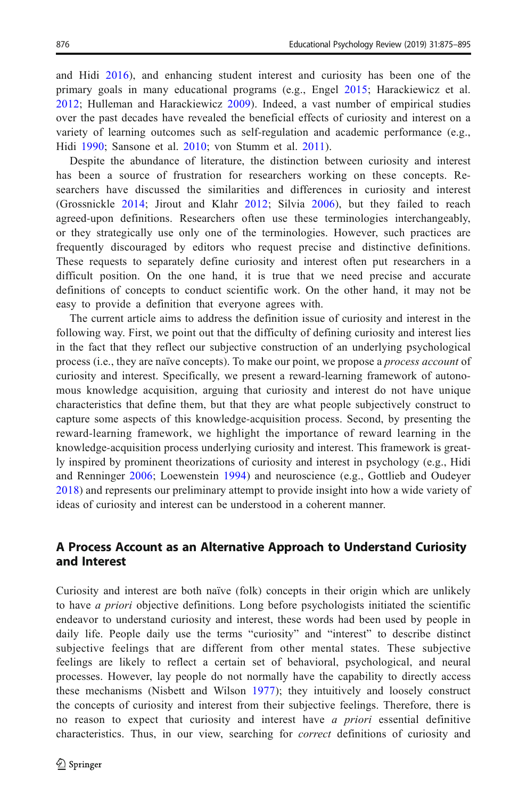and Hidi [2016\)](#page-19-0), and enhancing student interest and curiosity has been one of the primary goals in many educational programs (e.g., Engel [2015;](#page-17-0) Harackiewicz et al. [2012](#page-17-0); Hulleman and Harackiewicz [2009](#page-17-0)). Indeed, a vast number of empirical studies over the past decades have revealed the beneficial effects of curiosity and interest on a variety of learning outcomes such as self-regulation and academic performance (e.g., Hidi [1990;](#page-17-0) Sansone et al. [2010](#page-19-0); von Stumm et al. [2011](#page-20-0)).

Despite the abundance of literature, the distinction between curiosity and interest has been a source of frustration for researchers working on these concepts. Researchers have discussed the similarities and differences in curiosity and interest (Grossnickle [2014;](#page-17-0) Jirout and Klahr [2012;](#page-17-0) Silvia [2006](#page-20-0)), but they failed to reach agreed-upon definitions. Researchers often use these terminologies interchangeably, or they strategically use only one of the terminologies. However, such practices are frequently discouraged by editors who request precise and distinctive definitions. These requests to separately define curiosity and interest often put researchers in a difficult position. On the one hand, it is true that we need precise and accurate definitions of concepts to conduct scientific work. On the other hand, it may not be easy to provide a definition that everyone agrees with.

The current article aims to address the definition issue of curiosity and interest in the following way. First, we point out that the difficulty of defining curiosity and interest lies in the fact that they reflect our subjective construction of an underlying psychological process (i.e., they are naïve concepts). To make our point, we propose a *process account* of curiosity and interest. Specifically, we present a reward-learning framework of autonomous knowledge acquisition, arguing that curiosity and interest do not have unique characteristics that define them, but that they are what people subjectively construct to capture some aspects of this knowledge-acquisition process. Second, by presenting the reward-learning framework, we highlight the importance of reward learning in the knowledge-acquisition process underlying curiosity and interest. This framework is greatly inspired by prominent theorizations of curiosity and interest in psychology (e.g., Hidi and Renninger [2006](#page-17-0); Loewenstein [1994\)](#page-18-0) and neuroscience (e.g., Gottlieb and Oudeyer [2018](#page-17-0)) and represents our preliminary attempt to provide insight into how a wide variety of ideas of curiosity and interest can be understood in a coherent manner.

# A Process Account as an Alternative Approach to Understand Curiosity and Interest

Curiosity and interest are both naïve (folk) concepts in their origin which are unlikely to have a priori objective definitions. Long before psychologists initiated the scientific endeavor to understand curiosity and interest, these words had been used by people in daily life. People daily use the terms "curiosity" and "interest" to describe distinct subjective feelings that are different from other mental states. These subjective feelings are likely to reflect a certain set of behavioral, psychological, and neural processes. However, lay people do not normally have the capability to directly access these mechanisms (Nisbett and Wilson [1977\)](#page-19-0); they intuitively and loosely construct the concepts of curiosity and interest from their subjective feelings. Therefore, there is no reason to expect that curiosity and interest have a priori essential definitive characteristics. Thus, in our view, searching for correct definitions of curiosity and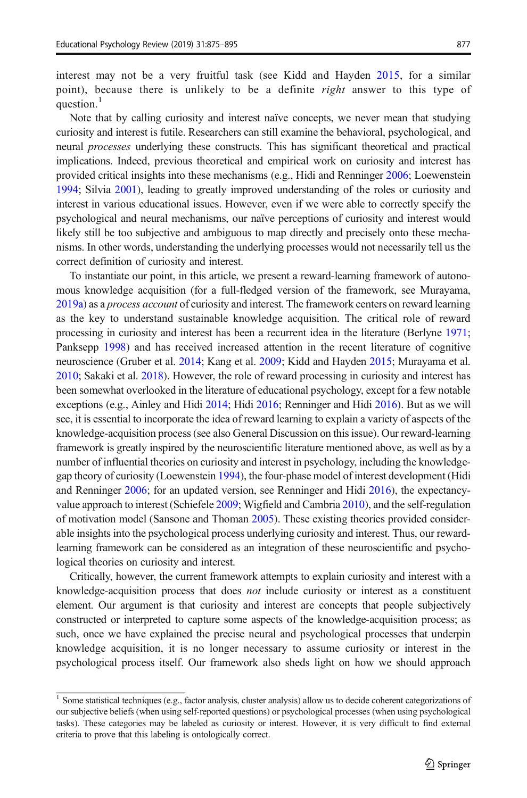interest may not be a very fruitful task (see Kidd and Hayden [2015,](#page-17-0) for a similar point), because there is unlikely to be a definite *right* answer to this type of question.<sup>1</sup>

Note that by calling curiosity and interest naïve concepts, we never mean that studying curiosity and interest is futile. Researchers can still examine the behavioral, psychological, and neural *processes* underlying these constructs. This has significant theoretical and practical implications. Indeed, previous theoretical and empirical work on curiosity and interest has provided critical insights into these mechanisms (e.g., Hidi and Renninger [2006;](#page-17-0) Loewenstein [1994](#page-18-0); Silvia [2001](#page-19-0)), leading to greatly improved understanding of the roles or curiosity and interest in various educational issues. However, even if we were able to correctly specify the psychological and neural mechanisms, our naïve perceptions of curiosity and interest would likely still be too subjective and ambiguous to map directly and precisely onto these mechanisms. In other words, understanding the underlying processes would not necessarily tell us the correct definition of curiosity and interest.

To instantiate our point, in this article, we present a reward-learning framework of autonomous knowledge acquisition (for a full-fledged version of the framework, see Murayama, [2019a](#page-18-0)) as a process account of curiosity and interest. The framework centers on reward learning as the key to understand sustainable knowledge acquisition. The critical role of reward processing in curiosity and interest has been a recurrent idea in the literature (Berlyne [1971](#page-16-0); Panksepp [1998](#page-19-0)) and has received increased attention in the recent literature of cognitive neuroscience (Gruber et al. [2014;](#page-17-0) Kang et al. [2009;](#page-17-0) Kidd and Hayden [2015;](#page-17-0) Murayama et al. [2010](#page-18-0); Sakaki et al. [2018](#page-19-0)). However, the role of reward processing in curiosity and interest has been somewhat overlooked in the literature of educational psychology, except for a few notable exceptions (e.g., Ainley and Hidi [2014](#page-16-0); Hidi [2016](#page-17-0); Renninger and Hidi [2016](#page-19-0)). But as we will see, it is essential to incorporate the idea of reward learning to explain a variety of aspects of the knowledge-acquisition process (see also General Discussion on this issue). Our reward-learning framework is greatly inspired by the neuroscientific literature mentioned above, as well as by a number of influential theories on curiosity and interest in psychology, including the knowledgegap theory of curiosity (Loewenstein [1994](#page-18-0)), the four-phase model of interest development (Hidi and Renninger [2006;](#page-17-0) for an updated version, see Renninger and Hidi [2016](#page-19-0)), the expectancyvalue approach to interest (Schiefele [2009;](#page-19-0) Wigfield and Cambria [2010](#page-20-0)), and the self-regulation of motivation model (Sansone and Thoman [2005\)](#page-19-0). These existing theories provided considerable insights into the psychological process underlying curiosity and interest. Thus, our rewardlearning framework can be considered as an integration of these neuroscientific and psychological theories on curiosity and interest.

Critically, however, the current framework attempts to explain curiosity and interest with a knowledge-acquisition process that does not include curiosity or interest as a constituent element. Our argument is that curiosity and interest are concepts that people subjectively constructed or interpreted to capture some aspects of the knowledge-acquisition process; as such, once we have explained the precise neural and psychological processes that underpin knowledge acquisition, it is no longer necessary to assume curiosity or interest in the psychological process itself. Our framework also sheds light on how we should approach

<sup>&</sup>lt;sup>1</sup> Some statistical techniques (e.g., factor analysis, cluster analysis) allow us to decide coherent categorizations of our subjective beliefs (when using self-reported questions) or psychological processes (when using psychological tasks). These categories may be labeled as curiosity or interest. However, it is very difficult to find external criteria to prove that this labeling is ontologically correct.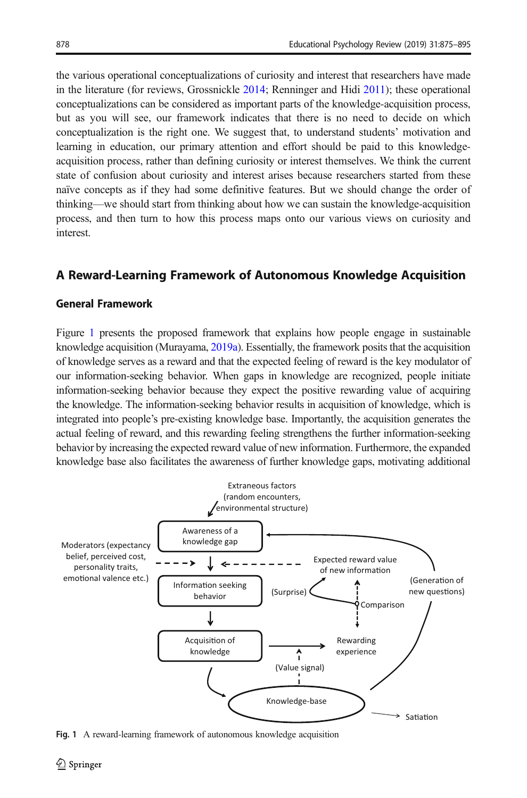<span id="page-3-0"></span>the various operational conceptualizations of curiosity and interest that researchers have made in the literature (for reviews, Grossnickle [2014](#page-17-0); Renninger and Hidi [2011\)](#page-19-0); these operational conceptualizations can be considered as important parts of the knowledge-acquisition process, but as you will see, our framework indicates that there is no need to decide on which conceptualization is the right one. We suggest that, to understand students' motivation and learning in education, our primary attention and effort should be paid to this knowledgeacquisition process, rather than defining curiosity or interest themselves. We think the current state of confusion about curiosity and interest arises because researchers started from these naïve concepts as if they had some definitive features. But we should change the order of thinking—we should start from thinking about how we can sustain the knowledge-acquisition process, and then turn to how this process maps onto our various views on curiosity and interest.

# A Reward-Learning Framework of Autonomous Knowledge Acquisition

# General Framework

Figure 1 presents the proposed framework that explains how people engage in sustainable knowledge acquisition (Murayama, [2019a](#page-18-0)). Essentially, the framework posits that the acquisition of knowledge serves as a reward and that the expected feeling of reward is the key modulator of our information-seeking behavior. When gaps in knowledge are recognized, people initiate information-seeking behavior because they expect the positive rewarding value of acquiring the knowledge. The information-seeking behavior results in acquisition of knowledge, which is integrated into people's pre-existing knowledge base. Importantly, the acquisition generates the actual feeling of reward, and this rewarding feeling strengthens the further information-seeking behavior by increasing the expected reward value of new information. Furthermore, the expanded knowledge base also facilitates the awareness of further knowledge gaps, motivating additional



Fig. 1 A reward-learning framework of autonomous knowledge acquisition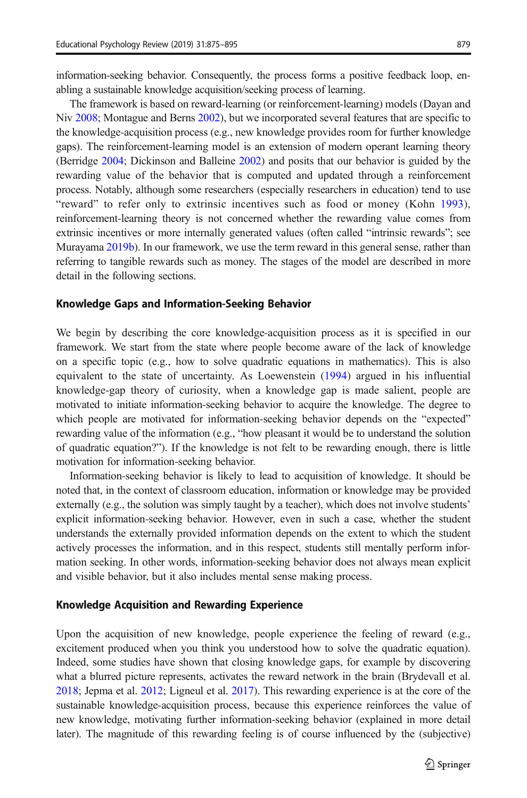information-seeking behavior. Consequently, the process forms a positive feedback loop, enabling a sustainable knowledge acquisition/seeking process of learning.

The framework is based on reward-learning (or reinforcement-learning) models (Dayan and Niv [2008](#page-16-0); Montague and Berns [2002\)](#page-18-0), but we incorporated several features that are specific to the knowledge-acquisition process (e.g., new knowledge provides room for further knowledge gaps). The reinforcement-learning model is an extension of modern operant learning theory (Berridge [2004](#page-16-0); Dickinson and Balleine [2002\)](#page-17-0) and posits that our behavior is guided by the rewarding value of the behavior that is computed and updated through a reinforcement process. Notably, although some researchers (especially researchers in education) tend to use "reward" to refer only to extrinsic incentives such as food or money (Kohn [1993\)](#page-18-0), reinforcement-learning theory is not concerned whether the rewarding value comes from extrinsic incentives or more internally generated values (often called "intrinsic rewards"; see Murayama [2019b\)](#page-18-0). In our framework, we use the term reward in this general sense, rather than referring to tangible rewards such as money. The stages of the model are described in more detail in the following sections.

#### Knowledge Gaps and Information-Seeking Behavior

We begin by describing the core knowledge-acquisition process as it is specified in our framework. We start from the state where people become aware of the lack of knowledge on a specific topic (e.g., how to solve quadratic equations in mathematics). This is also equivalent to the state of uncertainty. As Loewenstein ([1994\)](#page-18-0) argued in his influential knowledge-gap theory of curiosity, when a knowledge gap is made salient, people are motivated to initiate information-seeking behavior to acquire the knowledge. The degree to which people are motivated for information-seeking behavior depends on the "expected" rewarding value of the information (e.g., "how pleasant it would be to understand the solution of quadratic equation?"). If the knowledge is not felt to be rewarding enough, there is little motivation for information-seeking behavior.

Information-seeking behavior is likely to lead to acquisition of knowledge. It should be noted that, in the context of classroom education, information or knowledge may be provided externally (e.g., the solution was simply taught by a teacher), which does not involve students' explicit information-seeking behavior. However, even in such a case, whether the student understands the externally provided information depends on the extent to which the student actively processes the information, and in this respect, students still mentally perform information seeking. In other words, information-seeking behavior does not always mean explicit and visible behavior, but it also includes mental sense making process.

### Knowledge Acquisition and Rewarding Experience

Upon the acquisition of new knowledge, people experience the feeling of reward (e.g., excitement produced when you think you understood how to solve the quadratic equation). Indeed, some studies have shown that closing knowledge gaps, for example by discovering what a blurred picture represents, activates the reward network in the brain (Brydevall et al. [2018](#page-16-0); Jepma et al. [2012](#page-17-0); Ligneul et al. [2017\)](#page-18-0). This rewarding experience is at the core of the sustainable knowledge-acquisition process, because this experience reinforces the value of new knowledge, motivating further information-seeking behavior (explained in more detail later). The magnitude of this rewarding feeling is of course influenced by the (subjective)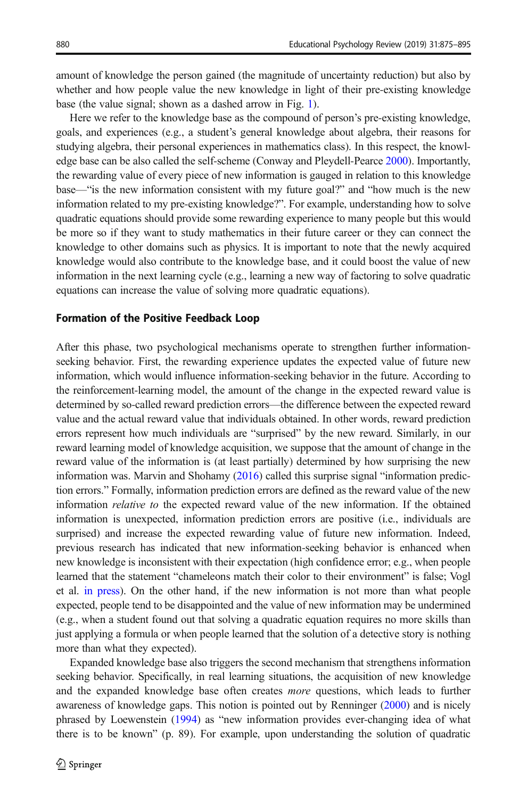amount of knowledge the person gained (the magnitude of uncertainty reduction) but also by whether and how people value the new knowledge in light of their pre-existing knowledge base (the value signal; shown as a dashed arrow in Fig. [1](#page-3-0)).

Here we refer to the knowledge base as the compound of person's pre-existing knowledge, goals, and experiences (e.g., a student's general knowledge about algebra, their reasons for studying algebra, their personal experiences in mathematics class). In this respect, the knowledge base can be also called the self-scheme (Conway and Pleydell-Pearce [2000](#page-16-0)). Importantly, the rewarding value of every piece of new information is gauged in relation to this knowledge base—"is the new information consistent with my future goal?" and "how much is the new information related to my pre-existing knowledge?". For example, understanding how to solve quadratic equations should provide some rewarding experience to many people but this would be more so if they want to study mathematics in their future career or they can connect the knowledge to other domains such as physics. It is important to note that the newly acquired knowledge would also contribute to the knowledge base, and it could boost the value of new information in the next learning cycle (e.g., learning a new way of factoring to solve quadratic equations can increase the value of solving more quadratic equations).

#### Formation of the Positive Feedback Loop

After this phase, two psychological mechanisms operate to strengthen further informationseeking behavior. First, the rewarding experience updates the expected value of future new information, which would influence information-seeking behavior in the future. According to the reinforcement-learning model, the amount of the change in the expected reward value is determined by so-called reward prediction errors—the difference between the expected reward value and the actual reward value that individuals obtained. In other words, reward prediction errors represent how much individuals are "surprised" by the new reward. Similarly, in our reward learning model of knowledge acquisition, we suppose that the amount of change in the reward value of the information is (at least partially) determined by how surprising the new information was. Marvin and Shohamy [\(2016\)](#page-18-0) called this surprise signal "information prediction errors." Formally, information prediction errors are defined as the reward value of the new information relative to the expected reward value of the new information. If the obtained information is unexpected, information prediction errors are positive (i.e., individuals are surprised) and increase the expected rewarding value of future new information. Indeed, previous research has indicated that new information-seeking behavior is enhanced when new knowledge is inconsistent with their expectation (high confidence error; e.g., when people learned that the statement "chameleons match their color to their environment" is false; Vogl et al. [in press\)](#page-20-0). On the other hand, if the new information is not more than what people expected, people tend to be disappointed and the value of new information may be undermined (e.g., when a student found out that solving a quadratic equation requires no more skills than just applying a formula or when people learned that the solution of a detective story is nothing more than what they expected).

Expanded knowledge base also triggers the second mechanism that strengthens information seeking behavior. Specifically, in real learning situations, the acquisition of new knowledge and the expanded knowledge base often creates *more* questions, which leads to further awareness of knowledge gaps. This notion is pointed out by Renninger [\(2000\)](#page-19-0) and is nicely phrased by Loewenstein ([1994](#page-18-0)) as "new information provides ever-changing idea of what there is to be known" (p. 89). For example, upon understanding the solution of quadratic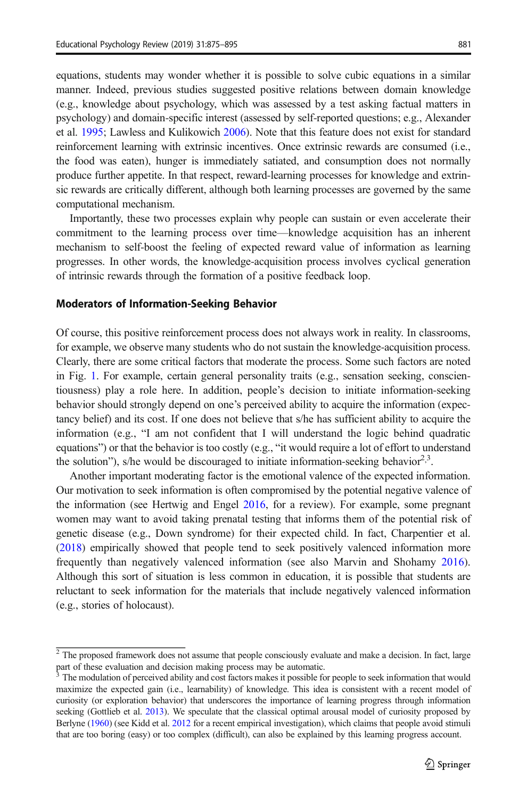equations, students may wonder whether it is possible to solve cubic equations in a similar manner. Indeed, previous studies suggested positive relations between domain knowledge (e.g., knowledge about psychology, which was assessed by a test asking factual matters in psychology) and domain-specific interest (assessed by self-reported questions; e.g., Alexander et al. [1995](#page-16-0); Lawless and Kulikowich [2006](#page-18-0)). Note that this feature does not exist for standard reinforcement learning with extrinsic incentives. Once extrinsic rewards are consumed (i.e., the food was eaten), hunger is immediately satiated, and consumption does not normally produce further appetite. In that respect, reward-learning processes for knowledge and extrinsic rewards are critically different, although both learning processes are governed by the same computational mechanism.

Importantly, these two processes explain why people can sustain or even accelerate their commitment to the learning process over time—knowledge acquisition has an inherent mechanism to self-boost the feeling of expected reward value of information as learning progresses. In other words, the knowledge-acquisition process involves cyclical generation of intrinsic rewards through the formation of a positive feedback loop.

### Moderators of Information-Seeking Behavior

Of course, this positive reinforcement process does not always work in reality. In classrooms, for example, we observe many students who do not sustain the knowledge-acquisition process. Clearly, there are some critical factors that moderate the process. Some such factors are noted in Fig. [1](#page-3-0). For example, certain general personality traits (e.g., sensation seeking, conscientiousness) play a role here. In addition, people's decision to initiate information-seeking behavior should strongly depend on one's perceived ability to acquire the information (expectancy belief) and its cost. If one does not believe that s/he has sufficient ability to acquire the information (e.g., "I am not confident that I will understand the logic behind quadratic equations") or that the behavior is too costly (e.g., "it would require a lot of effort to understand the solution"), s/he would be discouraged to initiate information-seeking behavior<sup>2,3</sup>.

Another important moderating factor is the emotional valence of the expected information. Our motivation to seek information is often compromised by the potential negative valence of the information (see Hertwig and Engel [2016](#page-17-0), for a review). For example, some pregnant women may want to avoid taking prenatal testing that informs them of the potential risk of genetic disease (e.g., Down syndrome) for their expected child. In fact, Charpentier et al. ([2018](#page-16-0)) empirically showed that people tend to seek positively valenced information more frequently than negatively valenced information (see also Marvin and Shohamy [2016](#page-18-0)). Although this sort of situation is less common in education, it is possible that students are reluctant to seek information for the materials that include negatively valenced information (e.g., stories of holocaust).

 $\frac{2}{3}$  The proposed framework does not assume that people consciously evaluate and make a decision. In fact, large part of these evaluation and decision making process may be automatic.

<sup>3</sup> The modulation of perceived ability and cost factors makes it possible for people to seek information that would maximize the expected gain (i.e., learnability) of knowledge. This idea is consistent with a recent model of curiosity (or exploration behavior) that underscores the importance of learning progress through information seeking (Gottlieb et al. [2013\)](#page-17-0). We speculate that the classical optimal arousal model of curiosity proposed by Berlyne [\(1960\)](#page-16-0) (see Kidd et al. [2012](#page-18-0) for a recent empirical investigation), which claims that people avoid stimuli that are too boring (easy) or too complex (difficult), can also be explained by this learning progress account.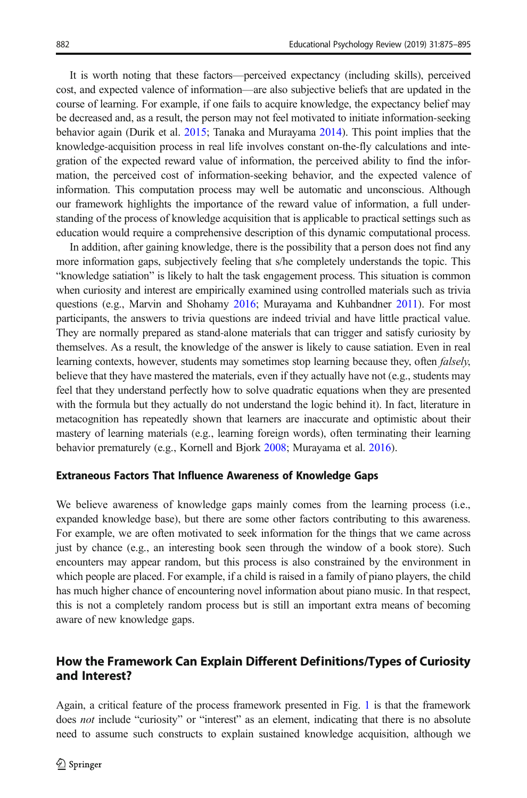It is worth noting that these factors—perceived expectancy (including skills), perceived cost, and expected valence of information—are also subjective beliefs that are updated in the course of learning. For example, if one fails to acquire knowledge, the expectancy belief may be decreased and, as a result, the person may not feel motivated to initiate information-seeking behavior again (Durik et al. [2015](#page-17-0); Tanaka and Murayama [2014](#page-20-0)). This point implies that the knowledge-acquisition process in real life involves constant on-the-fly calculations and integration of the expected reward value of information, the perceived ability to find the information, the perceived cost of information-seeking behavior, and the expected valence of information. This computation process may well be automatic and unconscious. Although our framework highlights the importance of the reward value of information, a full understanding of the process of knowledge acquisition that is applicable to practical settings such as education would require a comprehensive description of this dynamic computational process.

In addition, after gaining knowledge, there is the possibility that a person does not find any more information gaps, subjectively feeling that s/he completely understands the topic. This "knowledge satiation" is likely to halt the task engagement process. This situation is common when curiosity and interest are empirically examined using controlled materials such as trivia questions (e.g., Marvin and Shohamy [2016](#page-18-0); Murayama and Kuhbandner [2011\)](#page-18-0). For most participants, the answers to trivia questions are indeed trivial and have little practical value. They are normally prepared as stand-alone materials that can trigger and satisfy curiosity by themselves. As a result, the knowledge of the answer is likely to cause satiation. Even in real learning contexts, however, students may sometimes stop learning because they, often *falsely*, believe that they have mastered the materials, even if they actually have not (e.g., students may feel that they understand perfectly how to solve quadratic equations when they are presented with the formula but they actually do not understand the logic behind it). In fact, literature in metacognition has repeatedly shown that learners are inaccurate and optimistic about their mastery of learning materials (e.g., learning foreign words), often terminating their learning behavior prematurely (e.g., Kornell and Bjork [2008;](#page-18-0) Murayama et al. [2016](#page-18-0)).

### Extraneous Factors That Influence Awareness of Knowledge Gaps

We believe awareness of knowledge gaps mainly comes from the learning process (i.e., expanded knowledge base), but there are some other factors contributing to this awareness. For example, we are often motivated to seek information for the things that we came across just by chance (e.g., an interesting book seen through the window of a book store). Such encounters may appear random, but this process is also constrained by the environment in which people are placed. For example, if a child is raised in a family of piano players, the child has much higher chance of encountering novel information about piano music. In that respect, this is not a completely random process but is still an important extra means of becoming aware of new knowledge gaps.

# How the Framework Can Explain Different Definitions/Types of Curiosity and Interest?

Again, a critical feature of the process framework presented in Fig. [1](#page-3-0) is that the framework does not include "curiosity" or "interest" as an element, indicating that there is no absolute need to assume such constructs to explain sustained knowledge acquisition, although we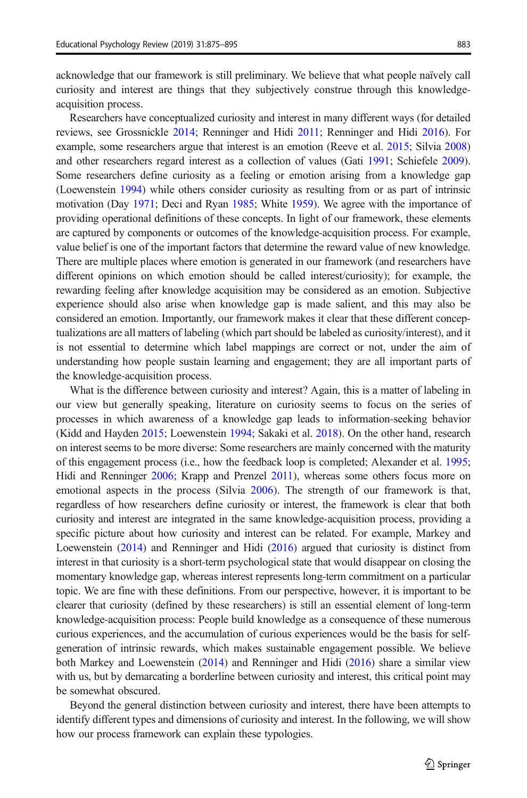acknowledge that our framework is still preliminary. We believe that what people naïvely call curiosity and interest are things that they subjectively construe through this knowledgeacquisition process.

Researchers have conceptualized curiosity and interest in many different ways (for detailed reviews, see Grossnickle [2014;](#page-17-0) Renninger and Hidi [2011;](#page-19-0) Renninger and Hidi [2016\)](#page-19-0). For example, some researchers argue that interest is an emotion (Reeve et al. [2015](#page-19-0); Silvia [2008\)](#page-20-0) and other researchers regard interest as a collection of values (Gati [1991](#page-17-0); Schiefele [2009](#page-19-0)). Some researchers define curiosity as a feeling or emotion arising from a knowledge gap (Loewenstein [1994\)](#page-18-0) while others consider curiosity as resulting from or as part of intrinsic motivation (Day [1971](#page-16-0); Deci and Ryan [1985](#page-16-0); White [1959](#page-20-0)). We agree with the importance of providing operational definitions of these concepts. In light of our framework, these elements are captured by components or outcomes of the knowledge-acquisition process. For example, value belief is one of the important factors that determine the reward value of new knowledge. There are multiple places where emotion is generated in our framework (and researchers have different opinions on which emotion should be called interest/curiosity); for example, the rewarding feeling after knowledge acquisition may be considered as an emotion. Subjective experience should also arise when knowledge gap is made salient, and this may also be considered an emotion. Importantly, our framework makes it clear that these different conceptualizations are all matters of labeling (which part should be labeled as curiosity/interest), and it is not essential to determine which label mappings are correct or not, under the aim of understanding how people sustain learning and engagement; they are all important parts of the knowledge-acquisition process.

What is the difference between curiosity and interest? Again, this is a matter of labeling in our view but generally speaking, literature on curiosity seems to focus on the series of processes in which awareness of a knowledge gap leads to information-seeking behavior (Kidd and Hayden [2015;](#page-17-0) Loewenstein [1994](#page-18-0); Sakaki et al. [2018](#page-19-0)). On the other hand, research on interest seems to be more diverse: Some researchers are mainly concerned with the maturity of this engagement process (i.e., how the feedback loop is completed; Alexander et al. [1995](#page-16-0); Hidi and Renninger [2006;](#page-17-0) Krapp and Prenzel [2011](#page-18-0)), whereas some others focus more on emotional aspects in the process (Silvia [2006](#page-20-0)). The strength of our framework is that, regardless of how researchers define curiosity or interest, the framework is clear that both curiosity and interest are integrated in the same knowledge-acquisition process, providing a specific picture about how curiosity and interest can be related. For example, Markey and Loewenstein ([2014](#page-18-0)) and Renninger and Hidi [\(2016\)](#page-19-0) argued that curiosity is distinct from interest in that curiosity is a short-term psychological state that would disappear on closing the momentary knowledge gap, whereas interest represents long-term commitment on a particular topic. We are fine with these definitions. From our perspective, however, it is important to be clearer that curiosity (defined by these researchers) is still an essential element of long-term knowledge-acquisition process: People build knowledge as a consequence of these numerous curious experiences, and the accumulation of curious experiences would be the basis for selfgeneration of intrinsic rewards, which makes sustainable engagement possible. We believe both Markey and Loewenstein [\(2014](#page-18-0)) and Renninger and Hidi [\(2016\)](#page-19-0) share a similar view with us, but by demarcating a borderline between curiosity and interest, this critical point may be somewhat obscured.

Beyond the general distinction between curiosity and interest, there have been attempts to identify different types and dimensions of curiosity and interest. In the following, we will show how our process framework can explain these typologies.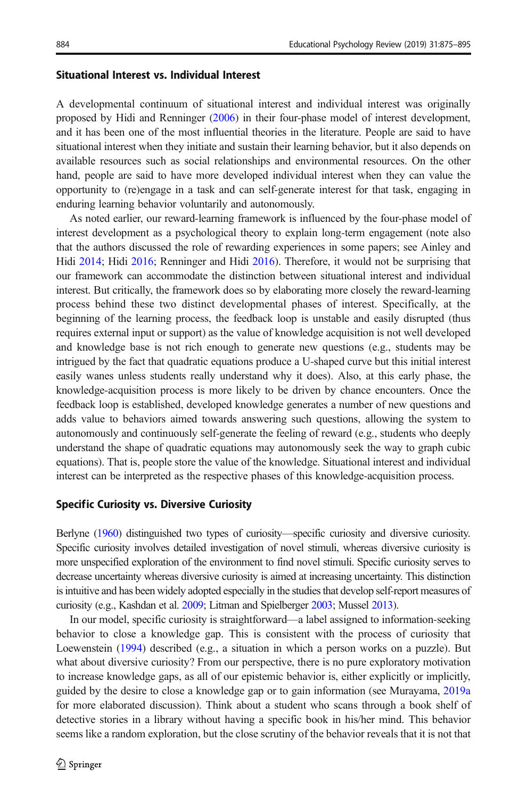# Situational Interest vs. Individual Interest

A developmental continuum of situational interest and individual interest was originally proposed by Hidi and Renninger ([2006](#page-17-0)) in their four-phase model of interest development, and it has been one of the most influential theories in the literature. People are said to have situational interest when they initiate and sustain their learning behavior, but it also depends on available resources such as social relationships and environmental resources. On the other hand, people are said to have more developed individual interest when they can value the opportunity to (re)engage in a task and can self-generate interest for that task, engaging in enduring learning behavior voluntarily and autonomously.

As noted earlier, our reward-learning framework is influenced by the four-phase model of interest development as a psychological theory to explain long-term engagement (note also that the authors discussed the role of rewarding experiences in some papers; see Ainley and Hidi [2014;](#page-16-0) Hidi [2016](#page-17-0); Renninger and Hidi [2016](#page-19-0)). Therefore, it would not be surprising that our framework can accommodate the distinction between situational interest and individual interest. But critically, the framework does so by elaborating more closely the reward-learning process behind these two distinct developmental phases of interest. Specifically, at the beginning of the learning process, the feedback loop is unstable and easily disrupted (thus requires external input or support) as the value of knowledge acquisition is not well developed and knowledge base is not rich enough to generate new questions (e.g., students may be intrigued by the fact that quadratic equations produce a U-shaped curve but this initial interest easily wanes unless students really understand why it does). Also, at this early phase, the knowledge-acquisition process is more likely to be driven by chance encounters. Once the feedback loop is established, developed knowledge generates a number of new questions and adds value to behaviors aimed towards answering such questions, allowing the system to autonomously and continuously self-generate the feeling of reward (e.g., students who deeply understand the shape of quadratic equations may autonomously seek the way to graph cubic equations). That is, people store the value of the knowledge. Situational interest and individual interest can be interpreted as the respective phases of this knowledge-acquisition process.

#### Specific Curiosity vs. Diversive Curiosity

Berlyne [\(1960\)](#page-16-0) distinguished two types of curiosity—specific curiosity and diversive curiosity. Specific curiosity involves detailed investigation of novel stimuli, whereas diversive curiosity is more unspecified exploration of the environment to find novel stimuli. Specific curiosity serves to decrease uncertainty whereas diversive curiosity is aimed at increasing uncertainty. This distinction is intuitive and has been widely adopted especially in the studies that develop self-report measures of curiosity (e.g., Kashdan et al. [2009;](#page-17-0) Litman and Spielberger [2003](#page-18-0); Mussel [2013\)](#page-19-0).

In our model, specific curiosity is straightforward—a label assigned to information-seeking behavior to close a knowledge gap. This is consistent with the process of curiosity that Loewenstein [\(1994\)](#page-18-0) described (e.g., a situation in which a person works on a puzzle). But what about diversive curiosity? From our perspective, there is no pure exploratory motivation to increase knowledge gaps, as all of our epistemic behavior is, either explicitly or implicitly, guided by the desire to close a knowledge gap or to gain information (see Murayama, [2019a](#page-18-0) for more elaborated discussion). Think about a student who scans through a book shelf of detective stories in a library without having a specific book in his/her mind. This behavior seems like a random exploration, but the close scrutiny of the behavior reveals that it is not that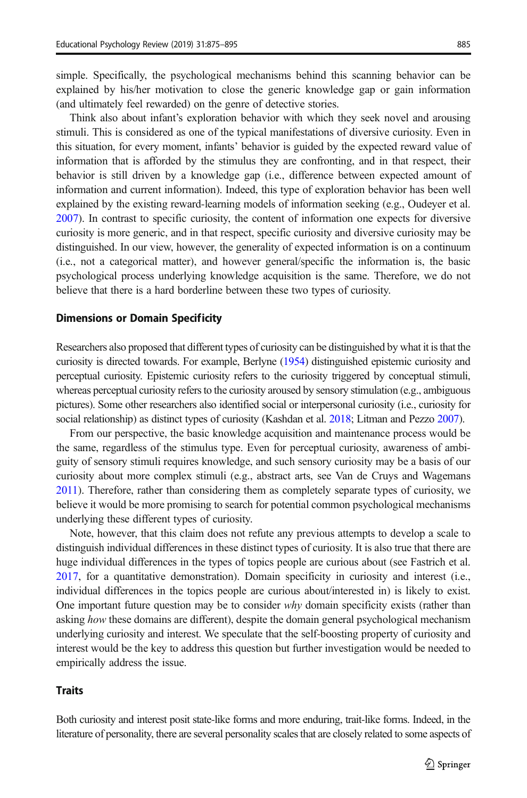simple. Specifically, the psychological mechanisms behind this scanning behavior can be explained by his/her motivation to close the generic knowledge gap or gain information (and ultimately feel rewarded) on the genre of detective stories.

Think also about infant's exploration behavior with which they seek novel and arousing stimuli. This is considered as one of the typical manifestations of diversive curiosity. Even in this situation, for every moment, infants' behavior is guided by the expected reward value of information that is afforded by the stimulus they are confronting, and in that respect, their behavior is still driven by a knowledge gap (i.e., difference between expected amount of information and current information). Indeed, this type of exploration behavior has been well explained by the existing reward-learning models of information seeking (e.g., Oudeyer et al. [2007](#page-19-0)). In contrast to specific curiosity, the content of information one expects for diversive curiosity is more generic, and in that respect, specific curiosity and diversive curiosity may be distinguished. In our view, however, the generality of expected information is on a continuum (i.e., not a categorical matter), and however general/specific the information is, the basic psychological process underlying knowledge acquisition is the same. Therefore, we do not believe that there is a hard borderline between these two types of curiosity.

#### Dimensions or Domain Specificity

Researchers also proposed that different types of curiosity can be distinguished by what it is that the curiosity is directed towards. For example, Berlyne [\(1954](#page-16-0)) distinguished epistemic curiosity and perceptual curiosity. Epistemic curiosity refers to the curiosity triggered by conceptual stimuli, whereas perceptual curiosity refers to the curiosity aroused by sensory stimulation (e.g., ambiguous pictures). Some other researchers also identified social or interpersonal curiosity (i.e., curiosity for social relationship) as distinct types of curiosity (Kashdan et al. [2018;](#page-17-0) Litman and Pezzo [2007\)](#page-18-0).

From our perspective, the basic knowledge acquisition and maintenance process would be the same, regardless of the stimulus type. Even for perceptual curiosity, awareness of ambiguity of sensory stimuli requires knowledge, and such sensory curiosity may be a basis of our curiosity about more complex stimuli (e.g., abstract arts, see Van de Cruys and Wagemans [2011\)](#page-20-0). Therefore, rather than considering them as completely separate types of curiosity, we believe it would be more promising to search for potential common psychological mechanisms underlying these different types of curiosity.

Note, however, that this claim does not refute any previous attempts to develop a scale to distinguish individual differences in these distinct types of curiosity. It is also true that there are huge individual differences in the types of topics people are curious about (see Fastrich et al. [2017](#page-17-0), for a quantitative demonstration). Domain specificity in curiosity and interest (i.e., individual differences in the topics people are curious about/interested in) is likely to exist. One important future question may be to consider  $why$  domain specificity exists (rather than asking how these domains are different), despite the domain general psychological mechanism underlying curiosity and interest. We speculate that the self-boosting property of curiosity and interest would be the key to address this question but further investigation would be needed to empirically address the issue.

### **Traits**

Both curiosity and interest posit state-like forms and more enduring, trait-like forms. Indeed, in the literature of personality, there are several personality scales that are closely related to some aspects of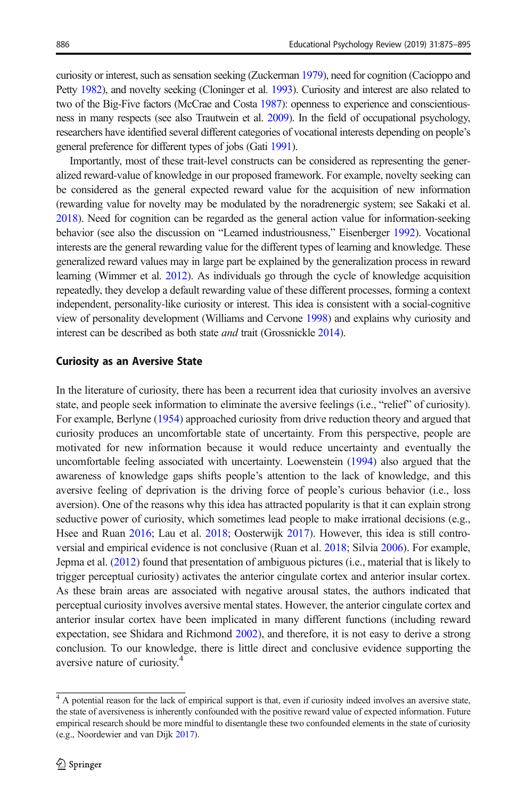curiosity or interest, such as sensation seeking (Zuckerman [1979](#page-20-0)), need for cognition (Cacioppo and Petty [1982\)](#page-16-0), and novelty seeking (Cloninger et al. [1993](#page-16-0)). Curiosity and interest are also related to two of the Big-Five factors (McCrae and Costa [1987\)](#page-18-0): openness to experience and conscientiousness in many respects (see also Trautwein et al. [2009\)](#page-20-0). In the field of occupational psychology, researchers have identified several different categories of vocational interests depending on people's general preference for different types of jobs (Gati [1991](#page-17-0)).

Importantly, most of these trait-level constructs can be considered as representing the generalized reward-value of knowledge in our proposed framework. For example, novelty seeking can be considered as the general expected reward value for the acquisition of new information (rewarding value for novelty may be modulated by the noradrenergic system; see Sakaki et al. [2018\)](#page-19-0). Need for cognition can be regarded as the general action value for information-seeking behavior (see also the discussion on "Learned industriousness," Eisenberger [1992](#page-17-0)). Vocational interests are the general rewarding value for the different types of learning and knowledge. These generalized reward values may in large part be explained by the generalization process in reward learning (Wimmer et al. [2012](#page-20-0)). As individuals go through the cycle of knowledge acquisition repeatedly, they develop a default rewarding value of these different processes, forming a context independent, personality-like curiosity or interest. This idea is consistent with a social-cognitive view of personality development (Williams and Cervone [1998](#page-20-0)) and explains why curiosity and interest can be described as both state *and* trait (Grossnickle [2014](#page-17-0)).

### Curiosity as an Aversive State

In the literature of curiosity, there has been a recurrent idea that curiosity involves an aversive state, and people seek information to eliminate the aversive feelings (i.e., "relief" of curiosity). For example, Berlyne [\(1954\)](#page-16-0) approached curiosity from drive reduction theory and argued that curiosity produces an uncomfortable state of uncertainty. From this perspective, people are motivated for new information because it would reduce uncertainty and eventually the uncomfortable feeling associated with uncertainty. Loewenstein ([1994](#page-18-0)) also argued that the awareness of knowledge gaps shifts people's attention to the lack of knowledge, and this aversive feeling of deprivation is the driving force of people's curious behavior (i.e., loss aversion). One of the reasons why this idea has attracted popularity is that it can explain strong seductive power of curiosity, which sometimes lead people to make irrational decisions (e.g., Hsee and Ruan [2016](#page-17-0); Lau et al. [2018;](#page-18-0) Oosterwijk [2017](#page-19-0)). However, this idea is still controversial and empirical evidence is not conclusive (Ruan et al. [2018](#page-19-0); Silvia [2006](#page-20-0)). For example, Jepma et al. [\(2012\)](#page-17-0) found that presentation of ambiguous pictures (i.e., material that is likely to trigger perceptual curiosity) activates the anterior cingulate cortex and anterior insular cortex. As these brain areas are associated with negative arousal states, the authors indicated that perceptual curiosity involves aversive mental states. However, the anterior cingulate cortex and anterior insular cortex have been implicated in many different functions (including reward expectation, see Shidara and Richmond [2002](#page-19-0)), and therefore, it is not easy to derive a strong conclusion. To our knowledge, there is little direct and conclusive evidence supporting the aversive nature of curiosity.4

<sup>&</sup>lt;sup>4</sup> A potential reason for the lack of empirical support is that, even if curiosity indeed involves an aversive state, the state of aversiveness is inherently confounded with the positive reward value of expected information. Future empirical research should be more mindful to disentangle these two confounded elements in the state of curiosity (e.g., Noordewier and van Dijk [2017](#page-19-0)).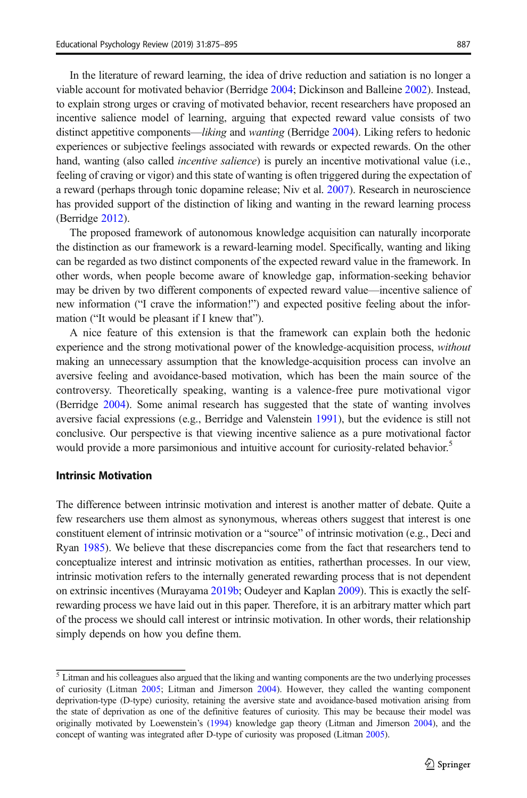In the literature of reward learning, the idea of drive reduction and satiation is no longer a viable account for motivated behavior (Berridge [2004](#page-16-0); Dickinson and Balleine [2002](#page-17-0)). Instead, to explain strong urges or craving of motivated behavior, recent researchers have proposed an incentive salience model of learning, arguing that expected reward value consists of two distinct appetitive components—liking and wanting (Berridge [2004\)](#page-16-0). Liking refers to hedonic experiences or subjective feelings associated with rewards or expected rewards. On the other hand, wanting (also called *incentive salience*) is purely an incentive motivational value (i.e., feeling of craving or vigor) and this state of wanting is often triggered during the expectation of a reward (perhaps through tonic dopamine release; Niv et al. [2007](#page-19-0)). Research in neuroscience has provided support of the distinction of liking and wanting in the reward learning process (Berridge [2012](#page-16-0)).

The proposed framework of autonomous knowledge acquisition can naturally incorporate the distinction as our framework is a reward-learning model. Specifically, wanting and liking can be regarded as two distinct components of the expected reward value in the framework. In other words, when people become aware of knowledge gap, information-seeking behavior may be driven by two different components of expected reward value—incentive salience of new information ("I crave the information!") and expected positive feeling about the information ("It would be pleasant if I knew that").

A nice feature of this extension is that the framework can explain both the hedonic experience and the strong motivational power of the knowledge-acquisition process, *without* making an unnecessary assumption that the knowledge-acquisition process can involve an aversive feeling and avoidance-based motivation, which has been the main source of the controversy. Theoretically speaking, wanting is a valence-free pure motivational vigor (Berridge [2004\)](#page-16-0). Some animal research has suggested that the state of wanting involves aversive facial expressions (e.g., Berridge and Valenstein [1991\)](#page-16-0), but the evidence is still not conclusive. Our perspective is that viewing incentive salience as a pure motivational factor would provide a more parsimonious and intuitive account for curiosity-related behavior.<sup>5</sup>

# Intrinsic Motivation

The difference between intrinsic motivation and interest is another matter of debate. Quite a few researchers use them almost as synonymous, whereas others suggest that interest is one constituent element of intrinsic motivation or a "source" of intrinsic motivation (e.g., Deci and Ryan [1985\)](#page-16-0). We believe that these discrepancies come from the fact that researchers tend to conceptualize interest and intrinsic motivation as entities, ratherthan processes. In our view, intrinsic motivation refers to the internally generated rewarding process that is not dependent on extrinsic incentives (Murayama [2019b](#page-18-0); Oudeyer and Kaplan [2009](#page-19-0)). This is exactly the selfrewarding process we have laid out in this paper. Therefore, it is an arbitrary matter which part of the process we should call interest or intrinsic motivation. In other words, their relationship simply depends on how you define them.

 $\frac{5}{10}$  Litman and his colleagues also argued that the liking and wanting components are the two underlying processes of curiosity (Litman [2005](#page-18-0); Litman and Jimerson [2004\)](#page-18-0). However, they called the wanting component deprivation-type (D-type) curiosity, retaining the aversive state and avoidance-based motivation arising from the state of deprivation as one of the definitive features of curiosity. This may be because their model was originally motivated by Loewenstein's [\(1994\)](#page-18-0) knowledge gap theory (Litman and Jimerson [2004\)](#page-18-0), and the concept of wanting was integrated after D-type of curiosity was proposed (Litman [2005\)](#page-18-0).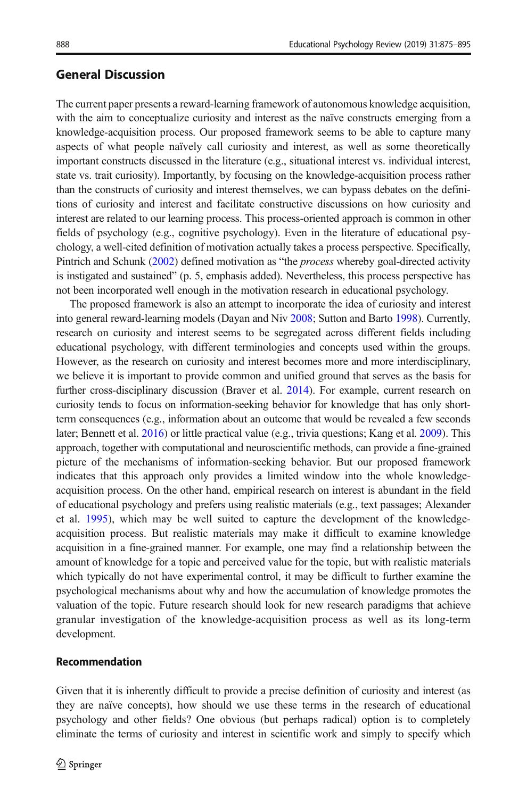# General Discussion

The current paper presents a reward-learning framework of autonomous knowledge acquisition, with the aim to conceptualize curiosity and interest as the naïve constructs emerging from a knowledge-acquisition process. Our proposed framework seems to be able to capture many aspects of what people naïvely call curiosity and interest, as well as some theoretically important constructs discussed in the literature (e.g., situational interest vs. individual interest, state vs. trait curiosity). Importantly, by focusing on the knowledge-acquisition process rather than the constructs of curiosity and interest themselves, we can bypass debates on the definitions of curiosity and interest and facilitate constructive discussions on how curiosity and interest are related to our learning process. This process-oriented approach is common in other fields of psychology (e.g., cognitive psychology). Even in the literature of educational psychology, a well-cited definition of motivation actually takes a process perspective. Specifically, Pintrich and Schunk [\(2002](#page-19-0)) defined motivation as "the process whereby goal-directed activity is instigated and sustained" (p. 5, emphasis added). Nevertheless, this process perspective has not been incorporated well enough in the motivation research in educational psychology.

The proposed framework is also an attempt to incorporate the idea of curiosity and interest into general reward-learning models (Dayan and Niv [2008;](#page-16-0) Sutton and Barto [1998](#page-20-0)). Currently, research on curiosity and interest seems to be segregated across different fields including educational psychology, with different terminologies and concepts used within the groups. However, as the research on curiosity and interest becomes more and more interdisciplinary, we believe it is important to provide common and unified ground that serves as the basis for further cross-disciplinary discussion (Braver et al. [2014\)](#page-16-0). For example, current research on curiosity tends to focus on information-seeking behavior for knowledge that has only shortterm consequences (e.g., information about an outcome that would be revealed a few seconds later; Bennett et al. [2016\)](#page-16-0) or little practical value (e.g., trivia questions; Kang et al. [2009\)](#page-17-0). This approach, together with computational and neuroscientific methods, can provide a fine-grained picture of the mechanisms of information-seeking behavior. But our proposed framework indicates that this approach only provides a limited window into the whole knowledgeacquisition process. On the other hand, empirical research on interest is abundant in the field of educational psychology and prefers using realistic materials (e.g., text passages; Alexander et al. [1995](#page-16-0)), which may be well suited to capture the development of the knowledgeacquisition process. But realistic materials may make it difficult to examine knowledge acquisition in a fine-grained manner. For example, one may find a relationship between the amount of knowledge for a topic and perceived value for the topic, but with realistic materials which typically do not have experimental control, it may be difficult to further examine the psychological mechanisms about why and how the accumulation of knowledge promotes the valuation of the topic. Future research should look for new research paradigms that achieve granular investigation of the knowledge-acquisition process as well as its long-term development.

### Recommendation

Given that it is inherently difficult to provide a precise definition of curiosity and interest (as they are naïve concepts), how should we use these terms in the research of educational psychology and other fields? One obvious (but perhaps radical) option is to completely eliminate the terms of curiosity and interest in scientific work and simply to specify which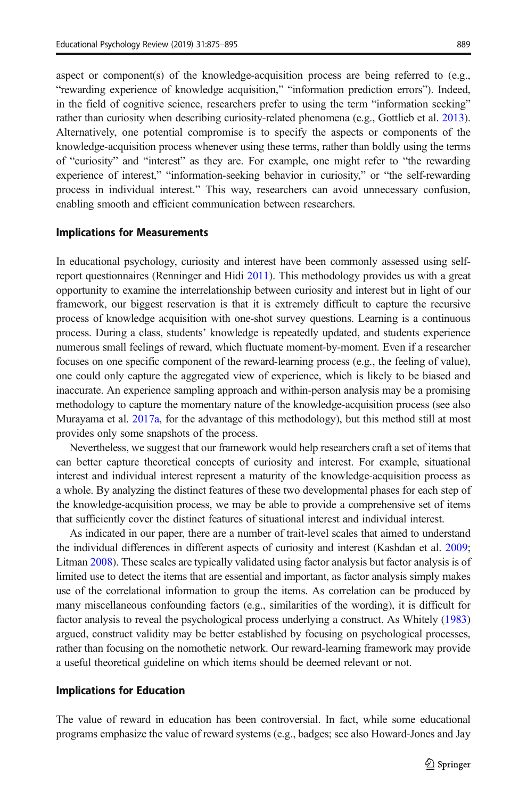aspect or component(s) of the knowledge-acquisition process are being referred to (e.g., "rewarding experience of knowledge acquisition," "information prediction errors"). Indeed, in the field of cognitive science, researchers prefer to using the term "information seeking" rather than curiosity when describing curiosity-related phenomena (e.g., Gottlieb et al. [2013](#page-17-0)). Alternatively, one potential compromise is to specify the aspects or components of the knowledge-acquisition process whenever using these terms, rather than boldly using the terms of "curiosity" and "interest" as they are. For example, one might refer to "the rewarding experience of interest," "information-seeking behavior in curiosity," or "the self-rewarding process in individual interest." This way, researchers can avoid unnecessary confusion, enabling smooth and efficient communication between researchers.

### Implications for Measurements

In educational psychology, curiosity and interest have been commonly assessed using selfreport questionnaires (Renninger and Hidi [2011](#page-19-0)). This methodology provides us with a great opportunity to examine the interrelationship between curiosity and interest but in light of our framework, our biggest reservation is that it is extremely difficult to capture the recursive process of knowledge acquisition with one-shot survey questions. Learning is a continuous process. During a class, students' knowledge is repeatedly updated, and students experience numerous small feelings of reward, which fluctuate moment-by-moment. Even if a researcher focuses on one specific component of the reward-learning process (e.g., the feeling of value), one could only capture the aggregated view of experience, which is likely to be biased and inaccurate. An experience sampling approach and within-person analysis may be a promising methodology to capture the momentary nature of the knowledge-acquisition process (see also Murayama et al. [2017a,](#page-18-0) for the advantage of this methodology), but this method still at most provides only some snapshots of the process.

Nevertheless, we suggest that our framework would help researchers craft a set of items that can better capture theoretical concepts of curiosity and interest. For example, situational interest and individual interest represent a maturity of the knowledge-acquisition process as a whole. By analyzing the distinct features of these two developmental phases for each step of the knowledge-acquisition process, we may be able to provide a comprehensive set of items that sufficiently cover the distinct features of situational interest and individual interest.

As indicated in our paper, there are a number of trait-level scales that aimed to understand the individual differences in different aspects of curiosity and interest (Kashdan et al. [2009](#page-17-0); Litman [2008\)](#page-18-0). These scales are typically validated using factor analysis but factor analysis is of limited use to detect the items that are essential and important, as factor analysis simply makes use of the correlational information to group the items. As correlation can be produced by many miscellaneous confounding factors (e.g., similarities of the wording), it is difficult for factor analysis to reveal the psychological process underlying a construct. As Whitely [\(1983\)](#page-20-0) argued, construct validity may be better established by focusing on psychological processes, rather than focusing on the nomothetic network. Our reward-learning framework may provide a useful theoretical guideline on which items should be deemed relevant or not.

#### Implications for Education

The value of reward in education has been controversial. In fact, while some educational programs emphasize the value of reward systems (e.g., badges; see also Howard-Jones and Jay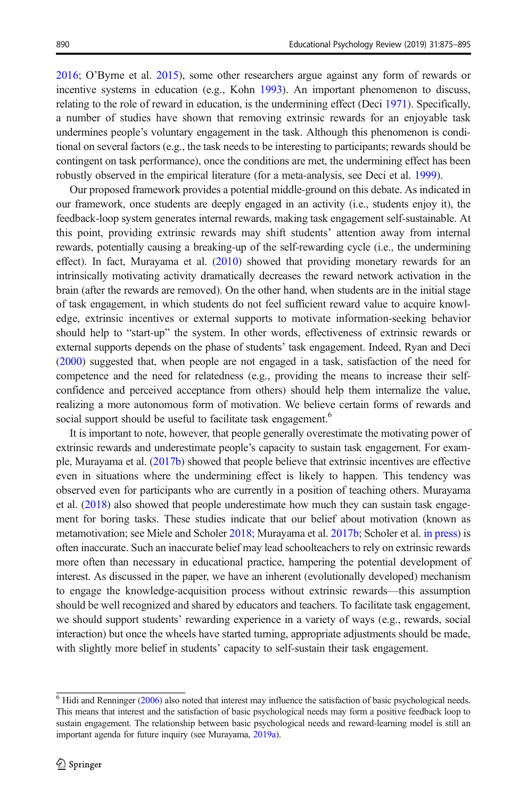[2016](#page-17-0); O'Byrne et al. [2015\)](#page-19-0), some other researchers argue against any form of rewards or incentive systems in education (e.g., Kohn [1993](#page-18-0)). An important phenomenon to discuss, relating to the role of reward in education, is the undermining effect (Deci [1971\)](#page-16-0). Specifically, a number of studies have shown that removing extrinsic rewards for an enjoyable task undermines people's voluntary engagement in the task. Although this phenomenon is conditional on several factors (e.g., the task needs to be interesting to participants; rewards should be contingent on task performance), once the conditions are met, the undermining effect has been robustly observed in the empirical literature (for a meta-analysis, see Deci et al. [1999](#page-17-0)).

Our proposed framework provides a potential middle-ground on this debate. As indicated in our framework, once students are deeply engaged in an activity (i.e., students enjoy it), the feedback-loop system generates internal rewards, making task engagement self-sustainable. At this point, providing extrinsic rewards may shift students' attention away from internal rewards, potentially causing a breaking-up of the self-rewarding cycle (i.e., the undermining effect). In fact, Murayama et al. [\(2010\)](#page-18-0) showed that providing monetary rewards for an intrinsically motivating activity dramatically decreases the reward network activation in the brain (after the rewards are removed). On the other hand, when students are in the initial stage of task engagement, in which students do not feel sufficient reward value to acquire knowledge, extrinsic incentives or external supports to motivate information-seeking behavior should help to "start-up" the system. In other words, effectiveness of extrinsic rewards or external supports depends on the phase of students' task engagement. Indeed, Ryan and Deci ([2000](#page-19-0)) suggested that, when people are not engaged in a task, satisfaction of the need for competence and the need for relatedness (e.g., providing the means to increase their selfconfidence and perceived acceptance from others) should help them internalize the value, realizing a more autonomous form of motivation. We believe certain forms of rewards and social support should be useful to facilitate task engagement.<sup>6</sup>

It is important to note, however, that people generally overestimate the motivating power of extrinsic rewards and underestimate people's capacity to sustain task engagement. For example, Murayama et al. ([2017b\)](#page-19-0) showed that people believe that extrinsic incentives are effective even in situations where the undermining effect is likely to happen. This tendency was observed even for participants who are currently in a position of teaching others. Murayama et al. ([2018](#page-19-0)) also showed that people underestimate how much they can sustain task engagement for boring tasks. These studies indicate that our belief about motivation (known as metamotivation; see Miele and Scholer [2018;](#page-18-0) Murayama et al. [2017b](#page-19-0); Scholer et al. [in press](#page-19-0)) is often inaccurate. Such an inaccurate belief may lead schoolteachers to rely on extrinsic rewards more often than necessary in educational practice, hampering the potential development of interest. As discussed in the paper, we have an inherent (evolutionally developed) mechanism to engage the knowledge-acquisition process without extrinsic rewards—this assumption should be well recognized and shared by educators and teachers. To facilitate task engagement, we should support students' rewarding experience in a variety of ways (e.g., rewards, social interaction) but once the wheels have started turning, appropriate adjustments should be made, with slightly more belief in students' capacity to self-sustain their task engagement.

 $6$  Hidi and Renninger [\(2006\)](#page-17-0) also noted that interest may influence the satisfaction of basic psychological needs. This means that interest and the satisfaction of basic psychological needs may form a positive feedback loop to sustain engagement. The relationship between basic psychological needs and reward-learning model is still an important agenda for future inquiry (see Murayama, [2019a](#page-18-0)).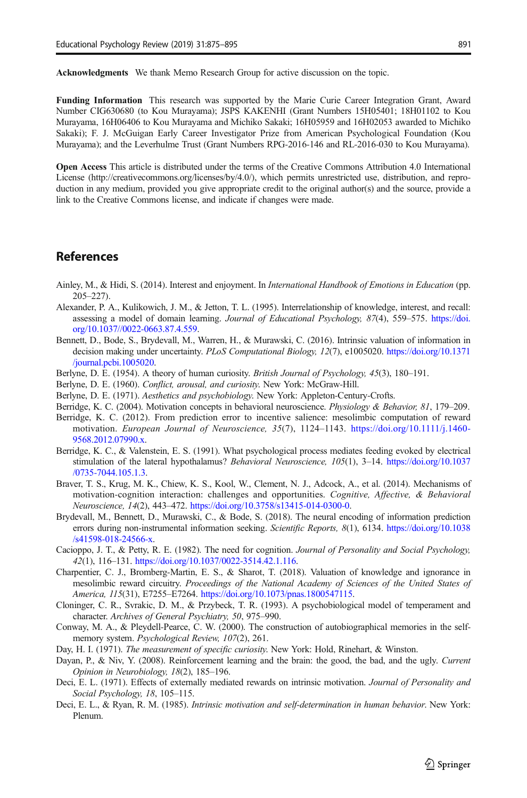<span id="page-16-0"></span>Acknowledgments We thank Memo Research Group for active discussion on the topic.

Funding Information This research was supported by the Marie Curie Career Integration Grant, Award Number CIG630680 (to Kou Murayama); JSPS KAKENHI (Grant Numbers 15H05401; 18H01102 to Kou Murayama, 16H06406 to Kou Murayama and Michiko Sakaki; 16H05959 and 16H02053 awarded to Michiko Sakaki); F. J. McGuigan Early Career Investigator Prize from American Psychological Foundation (Kou Murayama); and the Leverhulme Trust (Grant Numbers RPG-2016-146 and RL-2016-030 to Kou Murayama).

Open Access This article is distributed under the terms of the Creative Commons Attribution 4.0 International License (http://creativecommons.org/licenses/by/4.0/), which permits unrestricted use, distribution, and reproduction in any medium, provided you give appropriate credit to the original author(s) and the source, provide a link to the Creative Commons license, and indicate if changes were made.

# **References**

- Ainley, M., & Hidi, S. (2014). Interest and enjoyment. In International Handbook of Emotions in Education (pp. 205–227).
- Alexander, P. A., Kulikowich, J. M., & Jetton, T. L. (1995). Interrelationship of knowledge, interest, and recall: assessing a model of domain learning. Journal of Educational Psychology, 87(4), 559–575. [https://doi.](https://doi.org/10.1037//0022-0663.87.4.559) [org/10.1037//0022-0663.87.4.559.](https://doi.org/10.1037//0022-0663.87.4.559)
- Bennett, D., Bode, S., Brydevall, M., Warren, H., & Murawski, C. (2016). Intrinsic valuation of information in decision making under uncertainty. PLoS Computational Biology, 12(7), e1005020. [https://doi.org/10.1371](https://doi.org/10.1371/journal.pcbi.1005020) [/journal.pcbi.1005020](https://doi.org/10.1371/journal.pcbi.1005020).
- Berlyne, D. E. (1954). A theory of human curiosity. *British Journal of Psychology, 45*(3), 180–191.
- Berlyne, D. E. (1960). Conflict, arousal, and curiosity. New York: McGraw-Hill.
- Berlyne, D. E. (1971). Aesthetics and psychobiology. New York: Appleton-Century-Crofts.
- Berridge, K. C. (2004). Motivation concepts in behavioral neuroscience. *Physiology & Behavior*, 81, 179–209.
- Berridge, K. C. (2012). From prediction error to incentive salience: mesolimbic computation of reward motivation. European Journal of Neuroscience, 35(7), 1124–1143. [https://doi.org/10.1111/j.1460-](https://doi.org/10.1111/j.1460-9568.2012.07990.x) [9568.2012.07990.x.](https://doi.org/10.1111/j.1460-9568.2012.07990.x)
- Berridge, K. C., & Valenstein, E. S. (1991). What psychological process mediates feeding evoked by electrical stimulation of the lateral hypothalamus? Behavioral Neuroscience, 105(1), 3–14. [https://doi.org/10.1037](https://doi.org/10.1037/0735-7044.105.1.3) [/0735-7044.105.1.3](https://doi.org/10.1037/0735-7044.105.1.3).
- Braver, T. S., Krug, M. K., Chiew, K. S., Kool, W., Clement, N. J., Adcock, A., et al. (2014). Mechanisms of motivation-cognition interaction: challenges and opportunities. Cognitive, Affective, & Behavioral Neuroscience, 14(2), 443–472. <https://doi.org/10.3758/s13415-014-0300-0>.
- Brydevall, M., Bennett, D., Murawski, C., & Bode, S. (2018). The neural encoding of information prediction errors during non-instrumental information seeking. Scientific Reports, 8(1), 6134. [https://doi.org/10.1038](https://doi.org/10.1038/s41598-018-24566-x) [/s41598-018-24566-x](https://doi.org/10.1038/s41598-018-24566-x).
- Cacioppo, J. T., & Petty, R. E. (1982). The need for cognition. Journal of Personality and Social Psychology, 42(1), 116–131. [https://doi.org/10.1037/0022-3514.42.1.116.](https://doi.org/10.1037/0022-3514.42.1.116)
- Charpentier, C. J., Bromberg-Martin, E. S., & Sharot, T. (2018). Valuation of knowledge and ignorance in mesolimbic reward circuitry. Proceedings of the National Academy of Sciences of the United States of America, 115(31), E7255–E7264. <https://doi.org/10.1073/pnas.1800547115>.
- Cloninger, C. R., Svrakic, D. M., & Przybeck, T. R. (1993). A psychobiological model of temperament and character. Archives of General Psychiatry, 50, 975–990.
- Conway, M. A., & Pleydell-Pearce, C. W. (2000). The construction of autobiographical memories in the selfmemory system. Psychological Review, 107(2), 261.
- Day, H. I. (1971). The measurement of specific curiosity. New York: Hold, Rinehart, & Winston.
- Dayan, P., & Niv, Y. (2008). Reinforcement learning and the brain: the good, the bad, and the ugly. Current Opinion in Neurobiology, 18(2), 185–196.
- Deci, E. L. (1971). Effects of externally mediated rewards on intrinsic motivation. Journal of Personality and Social Psychology, 18, 105–115.
- Deci, E. L., & Ryan, R. M. (1985). Intrinsic motivation and self-determination in human behavior. New York: Plenum.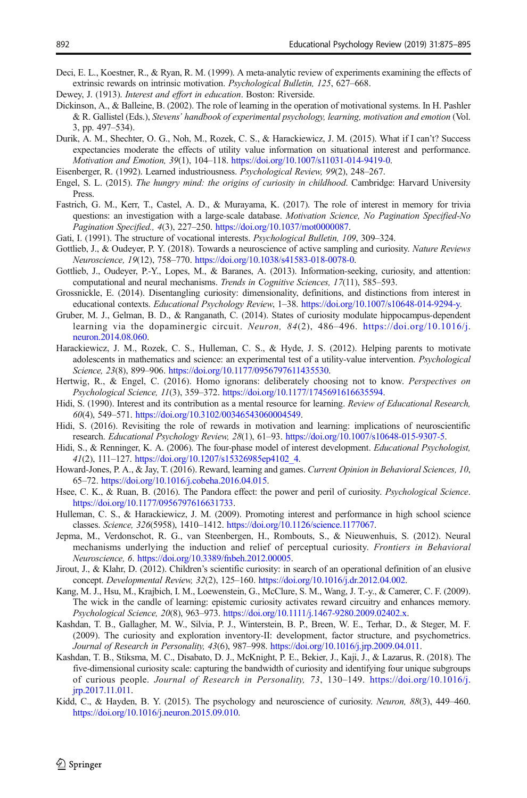<span id="page-17-0"></span>Deci, E. L., Koestner, R., & Ryan, R. M. (1999). A meta-analytic review of experiments examining the effects of extrinsic rewards on intrinsic motivation. Psychological Bulletin, 125, 627–668.

- Dewey, J. (1913). Interest and effort in education. Boston: Riverside.
- Dickinson, A., & Balleine, B. (2002). The role of learning in the operation of motivational systems. In H. Pashler & R. Gallistel (Eds.), Stevens' handbook of experimental psychology, learning, motivation and emotion (Vol. 3, pp. 497–534).
- Durik, A. M., Shechter, O. G., Noh, M., Rozek, C. S., & Harackiewicz, J. M. (2015). What if I can't? Success expectancies moderate the effects of utility value information on situational interest and performance. Motivation and Emotion, 39(1), 104–118. <https://doi.org/10.1007/s11031-014-9419-0>.
- Eisenberger, R. (1992). Learned industriousness. Psychological Review, 99(2), 248–267.
- Engel, S. L. (2015). The hungry mind: the origins of curiosity in childhood. Cambridge: Harvard University Press.
- Fastrich, G. M., Kerr, T., Castel, A. D., & Murayama, K. (2017). The role of interest in memory for trivia questions: an investigation with a large-scale database. Motivation Science, No Pagination Specified-No Pagination Specified., 4(3), 227–250. [https://doi.org/10.1037/mot0000087.](https://doi.org/10.1037/mot0000087)
- Gati, I. (1991). The structure of vocational interests. Psychological Bulletin, 109, 309–324.
- Gottlieb, J., & Oudeyer, P. Y. (2018). Towards a neuroscience of active sampling and curiosity. Nature Reviews Neuroscience, 19(12), 758–770. <https://doi.org/10.1038/s41583-018-0078-0>.
- Gottlieb, J., Oudeyer, P.-Y., Lopes, M., & Baranes, A. (2013). Information-seeking, curiosity, and attention: computational and neural mechanisms. Trends in Cognitive Sciences, 17(11), 585–593.
- Grossnickle, E. (2014). Disentangling curiosity: dimensionality, definitions, and distinctions from interest in educational contexts. Educational Psychology Review, 1–38. [https://doi.org/10.1007/s10648-014-9294-y.](https://doi.org/10.1007/s10648-014-9294-y)
- Gruber, M. J., Gelman, B. D., & Ranganath, C. (2014). States of curiosity modulate hippocampus-dependent learning via the dopaminergic circuit. Neuron,  $84(2)$ ,  $486-496$ . [https://doi.org/10.1016/j.](https://doi.org/10.1016/j.neuron.2014.08.060) [neuron.2014.08.060.](https://doi.org/10.1016/j.neuron.2014.08.060)
- Harackiewicz, J. M., Rozek, C. S., Hulleman, C. S., & Hyde, J. S. (2012). Helping parents to motivate adolescents in mathematics and science: an experimental test of a utility-value intervention. Psychological Science, 23(8), 899-906. <https://doi.org/10.1177/0956797611435530>.
- Hertwig, R., & Engel, C. (2016). Homo ignorans: deliberately choosing not to know. Perspectives on Psychological Science, 11(3), 359–372. <https://doi.org/10.1177/1745691616635594>.
- Hidi, S. (1990). Interest and its contribution as a mental resource for learning. Review of Educational Research, 60(4), 549–571. [https://doi.org/10.3102/00346543060004549.](https://doi.org/10.3102/00346543060004549)
- Hidi, S. (2016). Revisiting the role of rewards in motivation and learning: implications of neuroscientific research. Educational Psychology Review, 28(1), 61–93. [https://doi.org/10.1007/s10648-015-9307-5.](https://doi.org/10.1007/s10648-015-9307-5)
- Hidi, S., & Renninger, K. A. (2006). The four-phase model of interest development. *Educational Psychologist*, 41(2), 111–127. [https://doi.org/10.1207/s15326985ep4102\\_4.](https://doi.org/10.1207/s15326985ep4102_4)
- Howard-Jones, P. A., & Jay, T. (2016). Reward, learning and games. Current Opinion in Behavioral Sciences, 10, 65–72. [https://doi.org/10.1016/j.cobeha.2016.04.015.](https://doi.org/10.1016/j.cobeha.2016.04.015)
- Hsee, C. K., & Ruan, B. (2016). The Pandora effect: the power and peril of curiosity. Psychological Science. [https://doi.org/10.1177/0956797616631733.](https://doi.org/10.1177/0956797616631733)
- Hulleman, C. S., & Harackiewicz, J. M. (2009). Promoting interest and performance in high school science classes. Science, 326(5958), 1410–1412. <https://doi.org/10.1126/science.1177067>.
- Jepma, M., Verdonschot, R. G., van Steenbergen, H., Rombouts, S., & Nieuwenhuis, S. (2012). Neural mechanisms underlying the induction and relief of perceptual curiosity. Frontiers in Behavioral Neuroscience, 6. [https://doi.org/10.3389/fnbeh.2012.00005.](https://doi.org/10.3389/fnbeh.2012.00005)
- Jirout, J., & Klahr, D. (2012). Children's scientific curiosity: in search of an operational definition of an elusive concept. Developmental Review, 32(2), 125–160. <https://doi.org/10.1016/j.dr.2012.04.002>.
- Kang, M. J., Hsu, M., Krajbich, I. M., Loewenstein, G., McClure, S. M., Wang, J. T.-y., & Camerer, C. F. (2009). The wick in the candle of learning: epistemic curiosity activates reward circuitry and enhances memory. Psychological Science, 20(8), 963–973. <https://doi.org/10.1111/j.1467-9280.2009.02402.x>.
- Kashdan, T. B., Gallagher, M. W., Silvia, P. J., Winterstein, B. P., Breen, W. E., Terhar, D., & Steger, M. F. (2009). The curiosity and exploration inventory-II: development, factor structure, and psychometrics. Journal of Research in Personality, 43(6), 987–998. <https://doi.org/10.1016/j.jrp.2009.04.011>.
- Kashdan, T. B., Stiksma, M. C., Disabato, D. J., McKnight, P. E., Bekier, J., Kaji, J., & Lazarus, R. (2018). The five-dimensional curiosity scale: capturing the bandwidth of curiosity and identifying four unique subgroups of curious people. Journal of Research in Personality, 73, 130–149. [https://doi.org/10.1016/j.](https://doi.org/10.1016/j.jrp.2017.11.011) [jrp.2017.11.011](https://doi.org/10.1016/j.jrp.2017.11.011).
- Kidd, C., & Hayden, B. Y. (2015). The psychology and neuroscience of curiosity. Neuron, 88(3), 449–460. [https://doi.org/10.1016/j.neuron.2015.09.010.](https://doi.org/10.1016/j.neuron.2015.09.010)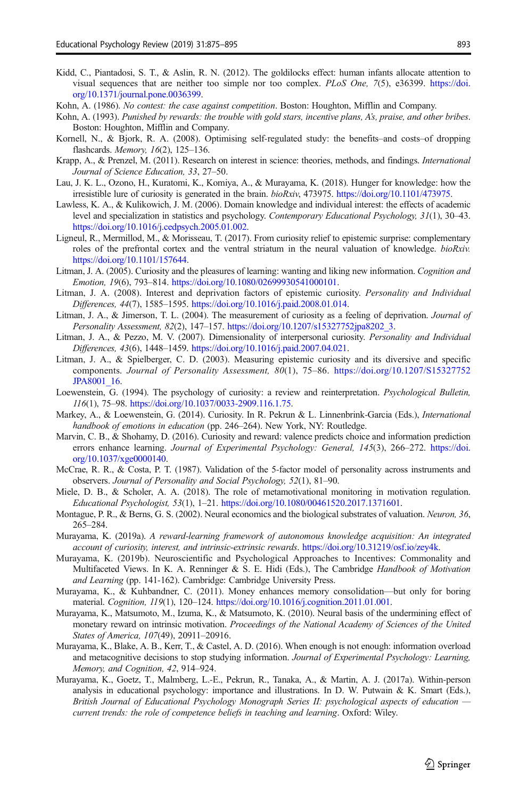- <span id="page-18-0"></span>Kidd, C., Piantadosi, S. T., & Aslin, R. N. (2012). The goldilocks effect: human infants allocate attention to visual sequences that are neither too simple nor too complex. PLoS One, 7(5), e36399. [https://doi.](https://doi.org/10.1371/journal.pone.0036399) [org/10.1371/journal.pone.0036399.](https://doi.org/10.1371/journal.pone.0036399)
- Kohn, A. (1986). No contest: the case against competition. Boston: Houghton, Mifflin and Company.
- Kohn, A. (1993). Punished by rewards: the trouble with gold stars, incentive plans, A's, praise, and other bribes. Boston: Houghton, Mifflin and Company.
- Kornell, N., & Bjork, R. A. (2008). Optimising self-regulated study: the benefits–and costs–of dropping flashcards. Memory, 16(2), 125–136.
- Krapp, A., & Prenzel, M. (2011). Research on interest in science: theories, methods, and findings. International Journal of Science Education, 33, 27–50.
- Lau, J. K. L., Ozono, H., Kuratomi, K., Komiya, A., & Murayama, K. (2018). Hunger for knowledge: how the irresistible lure of curiosity is generated in the brain. bioRxiv, 473975. [https://doi.org/10.1101/473975.](https://doi.org/10.1101/473975)
- Lawless, K. A., & Kulikowich, J. M. (2006). Domain knowledge and individual interest: the effects of academic level and specialization in statistics and psychology. Contemporary Educational Psychology, 31(1), 30–43. [https://doi.org/10.1016/j.cedpsych.2005.01.002.](https://doi.org/10.1016/j.cedpsych.2005.01.002)
- Ligneul, R., Mermillod, M., & Morisseau, T. (2017). From curiosity relief to epistemic surprise: complementary roles of the prefrontal cortex and the ventral striatum in the neural valuation of knowledge. *bioRxiv.* [https://doi.org/10.1101/157644.](https://doi.org/10.1101/157644)
- Litman, J. A. (2005). Curiosity and the pleasures of learning: wanting and liking new information. *Cognition and* Emotion, 19(6), 793–814. <https://doi.org/10.1080/02699930541000101>.
- Litman, J. A. (2008). Interest and deprivation factors of epistemic curiosity. Personality and Individual Differences, 44(7), 1585–1595. <https://doi.org/10.1016/j.paid.2008.01.014>.
- Litman, J. A., & Jimerson, T. L. (2004). The measurement of curiosity as a feeling of deprivation. Journal of Personality Assessment, 82(2), 147–157. [https://doi.org/10.1207/s15327752jpa8202\\_3](https://doi.org/10.1207/s15327752jpa8202_3).
- Litman, J. A., & Pezzo, M. V. (2007). Dimensionality of interpersonal curiosity. Personality and Individual Differences, 43(6), 1448–1459. <https://doi.org/10.1016/j.paid.2007.04.021>.
- Litman, J. A., & Spielberger, C. D. (2003). Measuring epistemic curiosity and its diversive and specific components. Journal of Personality Assessment, 80(1), 75–86. [https://doi.org/10.1207/S15327752](https://doi.org/10.1207/S15327752JPA8001_16) [JPA8001\\_16](https://doi.org/10.1207/S15327752JPA8001_16).
- Loewenstein, G. (1994). The psychology of curiosity: a review and reinterpretation. Psychological Bulletin, 116(1), 75–98. [https://doi.org/10.1037/0033-2909.116.1.75.](https://doi.org/10.1037/0033-2909.116.1.75)
- Markey, A., & Loewenstein, G. (2014). Curiosity. In R. Pekrun & L. Linnenbrink-Garcia (Eds.), *International* handbook of emotions in education (pp. 246-264). New York, NY: Routledge.
- Marvin, C. B., & Shohamy, D. (2016). Curiosity and reward: valence predicts choice and information prediction errors enhance learning. Journal of Experimental Psychology: General, 145(3), 266-272. [https://doi.](https://doi.org/10.1037/xge0000140) [org/10.1037/xge0000140](https://doi.org/10.1037/xge0000140).
- McCrae, R. R., & Costa, P. T. (1987). Validation of the 5-factor model of personality across instruments and observers. Journal of Personality and Social Psychology, 52(1), 81–90.
- Miele, D. B., & Scholer, A. A. (2018). The role of metamotivational monitoring in motivation regulation. Educational Psychologist, 53(1), 1–21. [https://doi.org/10.1080/00461520.2017.1371601.](https://doi.org/10.1080/00461520.2017.1371601)
- Montague, P. R., & Berns, G. S. (2002). Neural economics and the biological substrates of valuation. Neuron, 36, 265–284.
- Murayama, K. (2019a). A reward-learning framework of autonomous knowledge acquisition: An integrated account of curiosity, interest, and intrinsic-extrinsic rewards. [https://doi.org/10.31219/osf.io/zey4k.](https://doi.org/10.31219/osf.io/zey4k)
- Murayama, K. (2019b). Neuroscientific and Psychological Approaches to Incentives: Commonality and Multifaceted Views. In K. A. Renninger & S. E. Hidi (Eds.), The Cambridge Handbook of Motivation and Learning (pp. 141-162). Cambridge: Cambridge University Press.
- Murayama, K., & Kuhbandner, C. (2011). Money enhances memory consolidation—but only for boring material. Cognition, 119(1), 120–124. <https://doi.org/10.1016/j.cognition.2011.01.001>.
- Murayama, K., Matsumoto, M., Izuma, K., & Matsumoto, K. (2010). Neural basis of the undermining effect of monetary reward on intrinsic motivation. Proceedings of the National Academy of Sciences of the United States of America, 107(49), 20911–20916.
- Murayama, K., Blake, A. B., Kerr, T., & Castel, A. D. (2016). When enough is not enough: information overload and metacognitive decisions to stop studying information. Journal of Experimental Psychology: Learning, Memory, and Cognition, 42, 914–924.
- Murayama, K., Goetz, T., Malmberg, L.-E., Pekrun, R., Tanaka, A., & Martin, A. J. (2017a). Within-person analysis in educational psychology: importance and illustrations. In D. W. Putwain & K. Smart (Eds.), British Journal of Educational Psychology Monograph Series II: psychological aspects of education current trends: the role of competence beliefs in teaching and learning. Oxford: Wiley.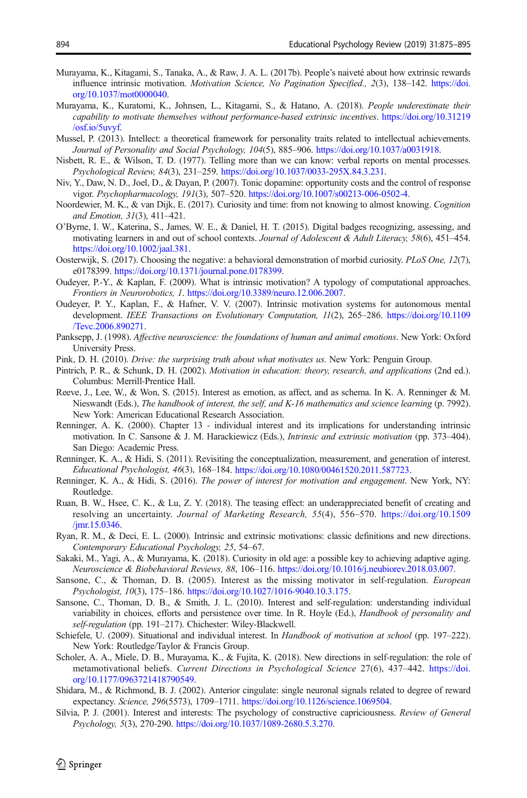- <span id="page-19-0"></span>Murayama, K., Kitagami, S., Tanaka, A., & Raw, J. A. L. (2017b). People's naiveté about how extrinsic rewards influence intrinsic motivation. Motivation Science, No Pagination Specified., 2(3), 138–142. [https://doi.](https://doi.org/10.1037/mot0000040) [org/10.1037/mot0000040](https://doi.org/10.1037/mot0000040).
- Murayama, K., Kuratomi, K., Johnsen, L., Kitagami, S., & Hatano, A. (2018). People underestimate their capability to motivate themselves without performance-based extrinsic incentives. [https://doi.org/10.31219](https://doi.org/10.31219/osf.io/5uvyf) [/osf.io/5uvyf.](https://doi.org/10.31219/osf.io/5uvyf)
- Mussel, P. (2013). Intellect: a theoretical framework for personality traits related to intellectual achievements. Journal of Personality and Social Psychology, 104(5), 885–906. <https://doi.org/10.1037/a0031918>.
- Nisbett, R. E., & Wilson, T. D. (1977). Telling more than we can know: verbal reports on mental processes. Psychological Review, 84(3), 231–259. [https://doi.org/10.1037/0033-295X.84.3.231.](https://doi.org/10.1037/0033-295X.84.3.231)
- Niv, Y., Daw, N. D., Joel, D., & Dayan, P. (2007). Tonic dopamine: opportunity costs and the control of response vigor. Psychopharmacology, 191(3), 507–520. <https://doi.org/10.1007/s00213-006-0502-4>.
- Noordewier, M. K., & van Dijk, E. (2017). Curiosity and time: from not knowing to almost knowing. Cognition and Emotion, 31(3), 411–421.
- O'Byrne, I. W., Katerina, S., James, W. E., & Daniel, H. T. (2015). Digital badges recognizing, assessing, and motivating learners in and out of school contexts. Journal of Adolescent & Adult Literacy, 58(6), 451–454. <https://doi.org/10.1002/jaal.381>.
- Oosterwijk, S. (2017). Choosing the negative: a behavioral demonstration of morbid curiosity. PLoS One, 12(7), e0178399. <https://doi.org/10.1371/journal.pone.0178399>.
- Oudeyer, P.-Y., & Kaplan, F. (2009). What is intrinsic motivation? A typology of computational approaches. Frontiers in Neurorobotics, 1. <https://doi.org/10.3389/neuro.12.006.2007>.
- Oudeyer, P. Y., Kaplan, F., & Hafner, V. V. (2007). Intrinsic motivation systems for autonomous mental development. IEEE Transactions on Evolutionary Computation, 11(2), 265-286. [https://doi.org/10.1109](https://doi.org/10.1109/Tevc.2006.890271) [/Tevc.2006.890271](https://doi.org/10.1109/Tevc.2006.890271).
- Panksepp, J. (1998). Affective neuroscience: the foundations of human and animal emotions. New York: Oxford University Press.
- Pink, D. H. (2010). Drive: the surprising truth about what motivates us. New York: Penguin Group.
- Pintrich, P. R., & Schunk, D. H. (2002). Motivation in education: theory, research, and applications (2nd ed.). Columbus: Merrill-Prentice Hall.
- Reeve, J., Lee, W., & Won, S. (2015). Interest as emotion, as affect, and as schema. In K. A. Renninger & M. Nieswandt (Eds.), The handbook of interest, the self, and K-16 mathematics and science learning (p. 7992). New York: American Educational Research Association.
- Renninger, A. K. (2000). Chapter 13 individual interest and its implications for understanding intrinsic motivation. In C. Sansone & J. M. Harackiewicz (Eds.), *Intrinsic and extrinsic motivation* (pp. 373–404). San Diego: Academic Press.
- Renninger, K. A., & Hidi, S. (2011). Revisiting the conceptualization, measurement, and generation of interest. Educational Psychologist, 46(3), 168–184. <https://doi.org/10.1080/00461520.2011.587723.>
- Renninger, K. A., & Hidi, S. (2016). The power of interest for motivation and engagement. New York, NY: Routledge.
- Ruan, B. W., Hsee, C. K., & Lu, Z. Y. (2018). The teasing effect: an underappreciated benefit of creating and resolving an uncertainty. Journal of Marketing Research, 55(4), 556–570. [https://doi.org/10.1509](https://doi.org/10.1509/jmr.15.0346) [/jmr.15.0346.](https://doi.org/10.1509/jmr.15.0346)
- Ryan, R. M., & Deci, E. L. (2000). Intrinsic and extrinsic motivations: classic definitions and new directions. Contemporary Educational Psychology, 25, 54–67.
- Sakaki, M., Yagi, A., & Murayama, K. (2018). Curiosity in old age: a possible key to achieving adaptive aging. Neuroscience & Biobehavioral Reviews, 88, 106–116. <https://doi.org/10.1016/j.neubiorev.2018.03.007>.
- Sansone, C., & Thoman, D. B. (2005). Interest as the missing motivator in self-regulation. European Psychologist, 10(3), 175–186. [https://doi.org/10.1027/1016-9040.10.3.175.](https://doi.org/10.1027/1016-9040.10.3.175)
- Sansone, C., Thoman, D. B., & Smith, J. L. (2010). Interest and self-regulation: understanding individual variability in choices, efforts and persistence over time. In R. Hoyle (Ed.), Handbook of personality and self-regulation (pp. 191–217). Chichester: Wiley-Blackwell.
- Schiefele, U. (2009). Situational and individual interest. In Handbook of motivation at school (pp. 197–222). New York: Routledge/Taylor & Francis Group.
- Scholer, A. A., Miele, D. B., Murayama, K., & Fujita, K. (2018). New directions in self-regulation: the role of metamotivational beliefs. Current Directions in Psychological Science 27(6), 437–442. [https://doi.](https://doi.org/10.1177/0963721418790549) [org/10.1177/0963721418790549.](https://doi.org/10.1177/0963721418790549)
- Shidara, M., & Richmond, B. J. (2002). Anterior cingulate: single neuronal signals related to degree of reward expectancy. Science, 296(5573), 1709–1711. [https://doi.org/10.1126/science.1069504.](https://doi.org/10.1126/science.1069504)
- Silvia, P. J. (2001). Interest and interests: The psychology of constructive capriciousness. Review of General Psychology, 5(3), 270-290. <https://doi.org/10.1037/1089-2680.5.3.270>.